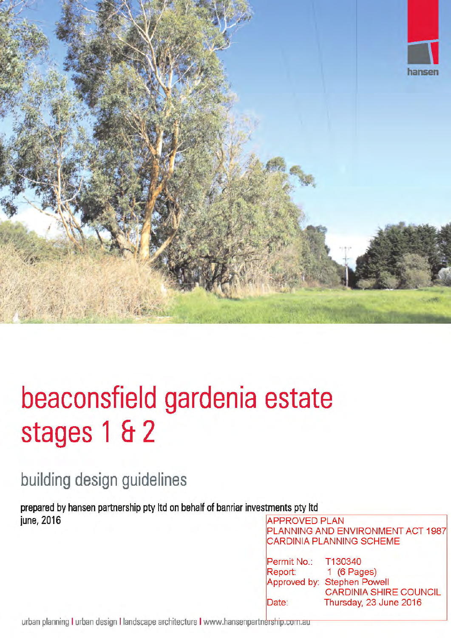

# beaconsfield gardenia estate stages 1 & 2

# building design guidelines

prepared by hansen partnership pty ltd on behalf of banriar investments pty ltd june, 2016

**APPROVED PLAN** PLANNING AND ENVIRONMENT ACT 1987 **CARDINIA PLANNING SCHEME** 

| Permit No.: | T130340                       |  |  |
|-------------|-------------------------------|--|--|
| Report:     | 1 $(6$ Pages)                 |  |  |
|             | Approved by: Stephen Powell   |  |  |
|             | <b>CARDINIA SHIRE COUNCIL</b> |  |  |
| Date:       | Thursday, 23 June 2016        |  |  |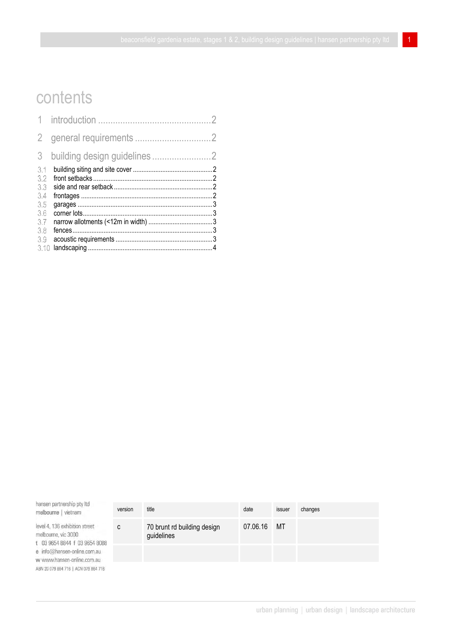# contents

| 3                 |  |
|-------------------|--|
| 3.1<br>3.2<br>3.3 |  |
| 3.4<br>3.5        |  |
| 3.6<br>3.7        |  |
| 3.8<br>3.9        |  |
| 3.10              |  |

hansen partnership pty Itd melbourne | vietnam

level 4, 136 exhibition street melbourne, vic 3000 t 03 9654 8844 f 03 9654 8088 e info@hansen-online.com.au w www.hansen-online.com.au ABN 20 079 864 716 | ACN 079 864 716

| version | title                                     | date        | issuer | changes |
|---------|-------------------------------------------|-------------|--------|---------|
| С       | 70 brunt rd building design<br>guidelines | 07.06.16 MT |        |         |
|         |                                           |             |        |         |
|         |                                           |             |        |         |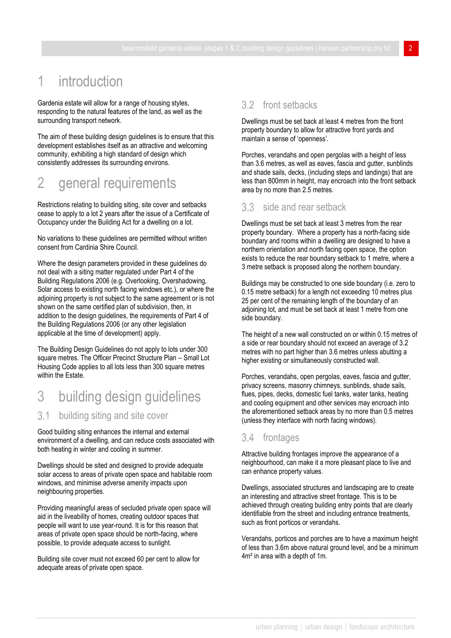# introduction

Gardenia estate will allow for a range of housing styles, responding to the natural features of the land, as well as the surrounding transport network.

The aim of these building design guidelines is to ensure that this development establishes itself as an attractive and welcoming community, exhibiting a high standard of design which consistently addresses its surrounding environs.

# 2 general requirements

Restrictions relating to building siting, site cover and setbacks cease to apply to a lot 2 years after the issue of a Certificate of Occupancy under the Building Act for a dwelling on a lot.

No variations to these guidelines are permitted without written consent from Cardinia Shire Council.

Where the design parameters provided in these quidelines do not deal with a siting matter regulated under Part 4 of the Building Regulations 2006 (e.g. Overlooking, Overshadowing, Solar access to existing north facing windows etc.), or where the adjoining property is not subject to the same agreement or is not shown on the same certified plan of subdivision, then, in addition to the design guidelines, the requirements of Part 4 of the Building Regulations 2006 (or any other legislation applicable at the time of development) apply.

The Building Design Guidelines do not apply to lots under 300 square metres. The Officer Precinct Structure Plan – Small Lot Housing Code applies to all lots less than 300 square metres within the Estate.

# 3 building design guidelines

#### $3.1$ building siting and site cover

Good building siting enhances the internal and external environment of a dwelling, and can reduce costs associated with both heating in winter and cooling in summer.

Dwellings should be sited and designed to provide adequate solar access to areas of private open space and habitable room windows, and minimise adverse amenity impacts upon neighbouring properties.

Providing meaningful areas of secluded private open space will aid in the liveability of homes, creating outdoor spaces that people will want to use year-round. It is for this reason that areas of private open space should be north-facing, where possible, to provide adequate access to sunlight.

Building site cover must not exceed 60 per cent to allow for adequate areas of private open space.

### 3.2 front setbacks

Dwellings must be set back at least 4 metres from the front property boundary to allow for attractive front yards and maintain a sense of 'openness'.

Porches, verandahs and open pergolas with a height of less than 3.6 metres, as well as eaves, fascia and gutter, sunblinds and shade sails, decks, (including steps and landings) that are less than 800mm in height, may encroach into the front setback area by no more than 2.5 metres.

#### side and rear setback  $33$

Dwellings must be set back at least 3 metres from the rear property boundary. Where a property has a north-facing side boundary and rooms within a dwelling are designed to have a northern orientation and north facing open space, the option exists to reduce the rear boundary setback to 1 metre, where a 3 metre setback is proposed along the northern boundary.

Buildings may be constructed to one side boundary (i.e. zero to 0.15 metre setback) for a length not exceeding 10 metres plus 25 per cent of the remaining length of the boundary of an adjoining lot, and must be set back at least 1 metre from one side boundary.

The height of a new wall constructed on or within 0.15 metres of a side or rear boundary should not exceed an average of 3.2 metres with no part higher than 3.6 metres unless abutting a higher existing or simultaneously constructed wall.

Porches, verandahs, open pergolas, eaves, fascia and gutter, privacy screens, masonry chimneys, sunblinds, shade sails, flues, pipes, decks, domestic fuel tanks, water tanks, heating and cooling equipment and other services may encroach into the aforementioned setback areas by no more than 0.5 metres (unless they interface with north facing windows).

## 3.4 frontages

Attractive building frontages improve the appearance of a neighbourhood, can make it a more pleasant place to live and can enhance property values.

Dwellings, associated structures and landscaping are to create an interesting and attractive street frontage. This is to be achieved through creating building entry points that are clearly identifiable from the street and including entrance treatments, such as front porticos or verandahs.

Verandahs, porticos and porches are to have a maximum height of less than 3.6m above natural ground level, and be a minimum 4m² in area with a depth of 1m.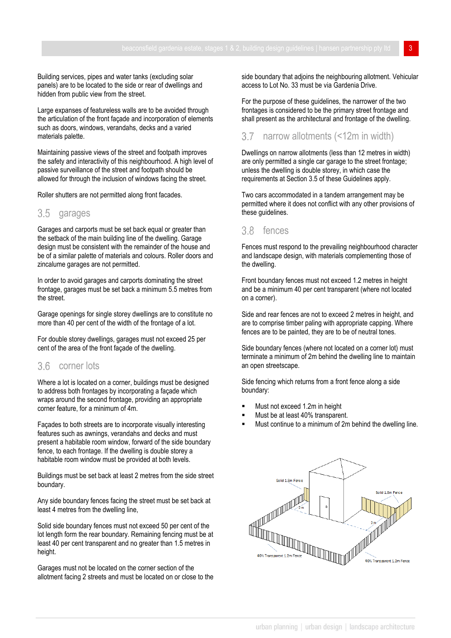Building services, pipes and water tanks (excluding solar panels) are to be located to the side or rear of dwellings and hidden from public view from the street.

Large expanses of featureless walls are to be avoided through the articulation of the front façade and incorporation of elements such as doors, windows, verandahs, decks and a varied materials palette.

Maintaining passive views of the street and footpath improves the safety and interactivity of this neighbourhood. A high level of passive surveillance of the street and footpath should be allowed for through the inclusion of windows facing the street.

Roller shutters are not permitted along front facades.

### 3.5 garages

Garages and carports must be set back equal or greater than the setback of the main building line of the dwelling. Garage design must be consistent with the remainder of the house and be of a similar palette of materials and colours. Roller doors and zincalume garages are not permitted.

In order to avoid garages and carports dominating the street frontage, garages must be set back a minimum 5.5 metres from the street.

Garage openings for single storey dwellings are to constitute no more than 40 per cent of the width of the frontage of a lot.

For double storey dwellings, garages must not exceed 25 per cent of the area of the front façade of the dwelling.

## 3.6 corner lots

Where a lot is located on a corner, buildings must be designed to address both frontages by incorporating a façade which wraps around the second frontage, providing an appropriate corner feature, for a minimum of 4m.

Façades to both streets are to incorporate visually interesting features such as awnings, verandahs and decks and must present a habitable room window, forward of the side boundary fence, to each frontage. If the dwelling is double storey a habitable room window must be provided at both levels.

Buildings must be set back at least 2 metres from the side street boundary.

Any side boundary fences facing the street must be set back at least 4 metres from the dwelling line,

Solid side boundary fences must not exceed 50 per cent of the lot length form the rear boundary. Remaining fencing must be at least 40 per cent transparent and no greater than 1.5 metres in height.

Garages must not be located on the corner section of the allotment facing 2 streets and must be located on or close to the side boundary that adjoins the neighbouring allotment. Vehicular access to Lot No. 33 must be via Gardenia Drive.

For the purpose of these guidelines, the narrower of the two frontages is considered to be the primary street frontage and shall present as the architectural and frontage of the dwelling.

#### $3.7$ narrow allotments (<12m in width)

Dwellings on narrow allotments (less than 12 metres in width) are only permitted a single car garage to the street frontage; unless the dwelling is double storey, in which case the requirements at Section 3.5 of these Guidelines apply.

Two cars accommodated in a tandem arrangement may be permitted where it does not conflict with any other provisions of these quidelines.

#### 3.8 fences

Fences must respond to the prevailing neighbourhood character and landscape design, with materials complementing those of the dwelling.

Front boundary fences must not exceed 1.2 metres in height and be a minimum 40 per cent transparent (where not located on a corner).

Side and rear fences are not to exceed 2 metres in height, and are to comprise timber paling with appropriate capping. Where fences are to be painted, they are to be of neutral tones.

Side boundary fences (where not located on a corner lot) must terminate a minimum of 2m behind the dwelling line to maintain an open streetscape.

Side fencing which returns from a front fence along a side boundary:

- Must not exceed 1.2m in height
- Must be at least 40% transparent.
- Must continue to a minimum of 2m behind the dwelling line.

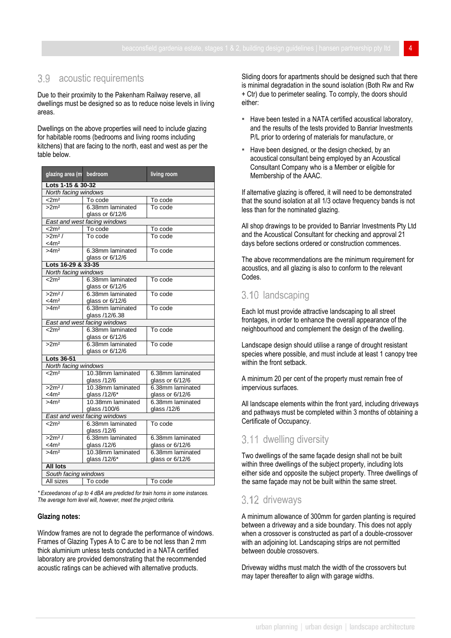### 3.9 acoustic requirements

Due to their proximity to the Pakenham Railway reserve, all dwellings must be designed so as to reduce noise levels in living areas.

Dwellings on the above properties will need to include glazing for habitable rooms (bedrooms and living rooms including kitchens) that are facing to the north, east and west as per the table below.

| glazing area (m              | bedroom                      | living room      |  |  |  |  |  |
|------------------------------|------------------------------|------------------|--|--|--|--|--|
| Lots 1-15 & 30-32            |                              |                  |  |  |  |  |  |
| North facing windows         |                              |                  |  |  |  |  |  |
| $<$ 2m <sup>2</sup>          | To code                      | To code          |  |  |  |  |  |
| >2 <sup>2</sup>              | 6.38mm laminated             | To code          |  |  |  |  |  |
|                              | glass or 6/12/6              |                  |  |  |  |  |  |
|                              | East and west facing windows |                  |  |  |  |  |  |
| $<$ 2m <sup>2</sup>          | To code                      | To code          |  |  |  |  |  |
| >2m <sup>2</sup> /           | To code                      | To code          |  |  |  |  |  |
| $<$ 4m <sup>2</sup>          |                              |                  |  |  |  |  |  |
| >4m <sup>2</sup>             | 6.38mm laminated             | To code          |  |  |  |  |  |
|                              | glass or 6/12/6              |                  |  |  |  |  |  |
| Lots 16-29 & 33-35           |                              |                  |  |  |  |  |  |
| North facing windows         |                              |                  |  |  |  |  |  |
| $<$ 2m <sup>2</sup>          | 6.38mm laminated             | To code          |  |  |  |  |  |
|                              | glass or 6/12/6              |                  |  |  |  |  |  |
| >2m <sup>2</sup> /           | 6.38mm laminated             | To code          |  |  |  |  |  |
| $<$ 4m <sup>2</sup>          | glass or 6/12/6              |                  |  |  |  |  |  |
| >4m <sup>2</sup>             | 6.38mm laminated             | To code          |  |  |  |  |  |
|                              | glass /12/6.38               |                  |  |  |  |  |  |
|                              | East and west facing windows |                  |  |  |  |  |  |
| $<$ 2m <sup>2</sup>          | 6.38mm laminated             | To code          |  |  |  |  |  |
|                              | glass or 6/12/6              |                  |  |  |  |  |  |
| >2 <sup>2</sup>              | 6.38mm laminated             | To code          |  |  |  |  |  |
|                              | glass or 6/12/6              |                  |  |  |  |  |  |
| <b>Lots 36-51</b>            |                              |                  |  |  |  |  |  |
| North facing windows         |                              |                  |  |  |  |  |  |
| $<$ 2m <sup>2</sup>          | 10.38mm laminated            | 6.38mm laminated |  |  |  |  |  |
|                              | glass /12/6                  | glass or 6/12/6  |  |  |  |  |  |
| $>2m^2/$                     | 10.38mm laminated            | 6.38mm laminated |  |  |  |  |  |
| $<$ 4m <sup>2</sup>          | glass /12/6*                 | glass or 6/12/6  |  |  |  |  |  |
| >4m <sup>2</sup>             | 10.38mm laminated            | 6.38mm laminated |  |  |  |  |  |
|                              | glass /100/6                 | glass /12/6      |  |  |  |  |  |
| East and west facing windows |                              |                  |  |  |  |  |  |
| $\sqrt{2m^2}$                | 6.38mm laminated             | To code          |  |  |  |  |  |
|                              | glass /12/6                  |                  |  |  |  |  |  |
| $>2m^2/$                     | 6.38mm laminated             | 6.38mm laminated |  |  |  |  |  |
| $<$ 4m <sup>2</sup>          | glass /12/6                  | glass or 6/12/6  |  |  |  |  |  |
| >4m <sup>2</sup>             | 10.38mm laminated            | 6.38mm laminated |  |  |  |  |  |
|                              | glass /12/6*                 | glass or 6/12/6  |  |  |  |  |  |
| <b>All lots</b>              |                              |                  |  |  |  |  |  |
| South facing windows         |                              |                  |  |  |  |  |  |
| All sizes                    | To code                      | To code          |  |  |  |  |  |

*\* Exceedances of up to 4 dBA are predicted for train horns in some instances. The average horn level will, however, meet the project criteria.* 

#### **Glazing notes:**

Window frames are not to degrade the performance of windows. Frames of Glazing Types A to C are to be not less than 2 mm thick aluminium unless tests conducted in a NATA certified laboratory are provided demonstrating that the recommended acoustic ratings can be achieved with alternative products.

Sliding doors for apartments should be designed such that there is minimal degradation in the sound isolation (Both Rw and Rw + Ctr) due to perimeter sealing. To comply, the doors should either:

- **EXECT** Have been tested in a NATA certified acoustical laboratory, and the results of the tests provided to Banriar Investments P/L prior to ordering of materials for manufacture, or
- Have been designed, or the design checked, by an acoustical consultant being employed by an Acoustical Consultant Company who is a Member or eligible for Membership of the AAAC.

If alternative glazing is offered, it will need to be demonstrated that the sound isolation at all 1/3 octave frequency bands is not less than for the nominated glazing.

All shop drawings to be provided to Banriar Investments Pty Ltd and the Acoustical Consultant for checking and approval 21 days before sections ordered or construction commences.

The above recommendations are the minimum requirement for acoustics, and all glazing is also to conform to the relevant Codes.

# 3.10 landscaping

Each lot must provide attractive landscaping to all street frontages, in order to enhance the overall appearance of the neighbourhood and complement the design of the dwelling.

Landscape design should utilise a range of drought resistant species where possible, and must include at least 1 canopy tree within the front setback.

A minimum 20 per cent of the property must remain free of impervious surfaces.

All landscape elements within the front yard, including driveways and pathways must be completed within 3 months of obtaining a Certificate of Occupancy.

# 3.11 dwelling diversity

Two dwellings of the same façade design shall not be built within three dwellings of the subject property, including lots either side and opposite the subject property. Three dwellings of the same façade may not be built within the same street.

### 3.12 driveways

A minimum allowance of 300mm for garden planting is required between a driveway and a side boundary. This does not apply when a crossover is constructed as part of a double-crossover with an adjoining lot. Landscaping strips are not permitted between double crossovers.

Driveway widths must match the width of the crossovers but may taper thereafter to align with garage widths.